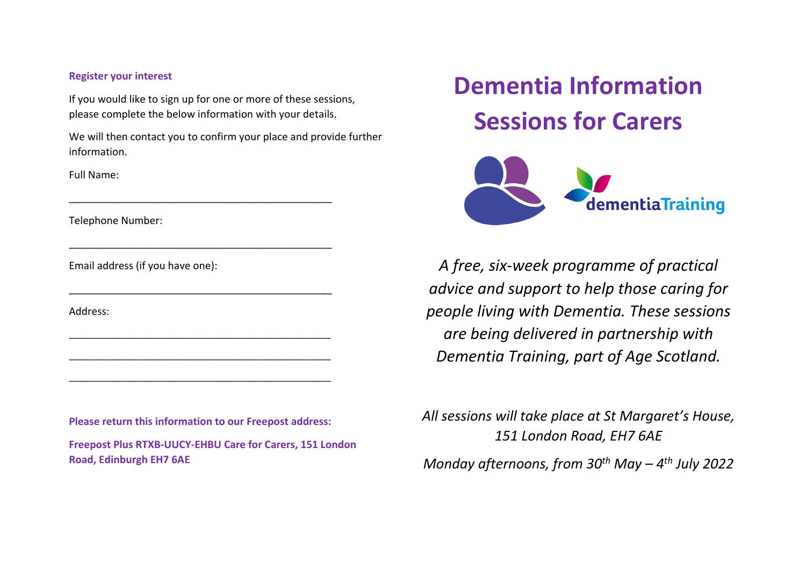#### **Register your interest**

If you would like to sign up for one or more of these sessions, please complete the below information with your details.

\_\_\_\_\_\_\_\_\_\_\_\_\_\_\_\_\_\_\_\_\_\_\_\_\_\_\_\_\_\_\_\_\_\_\_\_\_\_\_\_\_\_\_\_\_\_

\_\_\_\_\_\_\_\_\_\_\_\_\_\_\_\_\_\_\_\_\_\_\_\_\_\_\_\_\_\_\_\_\_\_\_\_\_\_\_\_\_\_\_\_\_\_

\_\_\_\_\_\_\_\_\_\_\_\_\_\_\_\_\_\_\_\_\_\_\_\_\_\_\_\_\_\_\_\_\_\_\_\_\_\_\_\_\_\_\_\_\_\_

\_\_\_\_\_\_\_\_\_\_\_\_\_\_\_\_\_\_\_\_\_\_\_\_\_\_\_\_\_\_\_\_\_\_\_\_\_\_\_\_\_\_\_\_\_\_\_\_\_\_

\_\_\_\_\_\_\_\_\_\_\_\_\_\_\_\_\_\_\_\_\_\_\_\_\_\_\_\_\_\_\_\_\_\_\_\_\_\_\_\_\_\_\_\_\_\_\_\_\_\_

\_\_\_\_\_\_\_\_\_\_\_\_\_\_\_\_\_\_\_\_\_\_\_\_\_\_\_\_\_\_\_\_\_\_\_\_\_\_\_\_\_\_\_\_\_\_\_\_\_\_

We will then contact you to confirm your place and provide further information.

Full Name:

Telephone Number:

Email address (if you have one):

Address:

**Please return this information to our Freepost address:**

**Freepost Plus RTXB-UUCY-EHBU Care for Carers, 151 London Road, Edinburgh EH7 6AE**

# **Dementia Information Sessions for Carers**



*A free, six-week programme of practical advice and support to help those caring for people living with Dementia. These sessions are being delivered in partnership with Dementia Training, part of Age Scotland.*

*All sessions will take place at St Margaret's House, 151 London Road, EH7 6AE Monday afternoons, from 30th May – 4th July 2022*